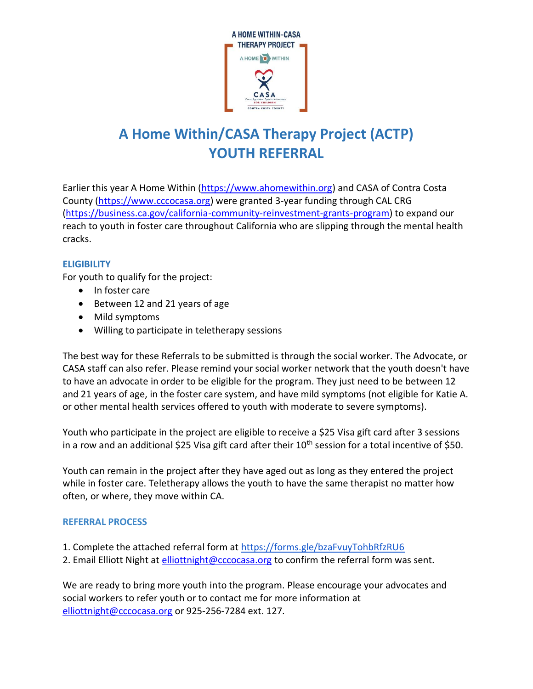

# **A Home Within/CASA Therapy Project (ACTP) YOUTH REFERRAL**

Earlier this year A Home Within [\(https://www.ahomewithin.org\)](https://www.ahomewithin.org/) and CASA of Contra Costa County [\(https://www.cccocasa.org\)](https://www.cccocasa.org/) were granted 3-year funding through CAL CRG [\(https://business.ca.gov/california-community-reinvestment-grants-program\)](https://business.ca.gov/california-community-reinvestment-grants-program) to expand our reach to youth in foster care throughout California who are slipping through the mental health cracks.

### **ELIGIBILITY**

For youth to qualify for the project:

- In foster care
- Between 12 and 21 years of age
- Mild symptoms
- Willing to participate in teletherapy sessions

The best way for these Referrals to be submitted is through the social worker. The Advocate, or CASA staff can also refer. Please remind your social worker network that the youth doesn't have to have an advocate in order to be eligible for the program. They just need to be between 12 and 21 years of age, in the foster care system, and have mild symptoms (not eligible for Katie A. or other mental health services offered to youth with moderate to severe symptoms).

Youth who participate in the project are eligible to receive a \$25 Visa gift card after 3 sessions in a row and an additional \$25 Visa gift card after their  $10<sup>th</sup>$  session for a total incentive of \$50.

Youth can remain in the project after they have aged out as long as they entered the project while in foster care. Teletherapy allows the youth to have the same therapist no matter how often, or where, they move within CA.

### **REFERRAL PROCESS**

- 1. Complete the attached referral form at<https://forms.gle/bzaFvuyTohbRfzRU6>
- 2. Email Elliott Night at [elliottnight@cccocasa.org](mailto:elliottnight@cccocasa.org) to confirm the referral form was sent.

We are ready to bring more youth into the program. Please encourage your advocates and social workers to refer youth or to contact me for more information at [elliottnight@cccocasa.org](mailto:elliottnight@cccocasa.org) or 925-256-7284 ext. 127.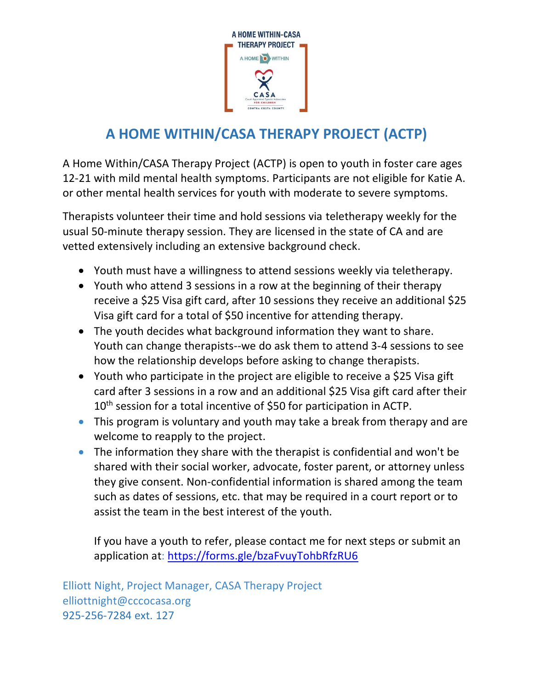

## **A HOME WITHIN/CASA THERAPY PROJECT (ACTP)**

A Home Within/CASA Therapy Project (ACTP) is open to youth in foster care ages 12-21 with mild mental health symptoms. Participants are not eligible for Katie A. or other mental health services for youth with moderate to severe symptoms.

Therapists volunteer their time and hold sessions via teletherapy weekly for the usual 50-minute therapy session. They are licensed in the state of CA and are vetted extensively including an extensive background check.

- Youth must have a willingness to attend sessions weekly via teletherapy.
- Youth who attend 3 sessions in a row at the beginning of their therapy receive a \$25 Visa gift card, after 10 sessions they receive an additional \$25 Visa gift card for a total of \$50 incentive for attending therapy.
- The youth decides what background information they want to share. Youth can change therapists--we do ask them to attend 3-4 sessions to see how the relationship develops before asking to change therapists.
- Youth who participate in the project are eligible to receive a \$25 Visa gift card after 3 sessions in a row and an additional \$25 Visa gift card after their 10<sup>th</sup> session for a total incentive of \$50 for participation in ACTP.
- This program is voluntary and youth may take a break from therapy and are welcome to reapply to the project.
- The information they share with the therapist is confidential and won't be shared with their social worker, advocate, foster parent, or attorney unless they give consent. Non-confidential information is shared among the team such as dates of sessions, etc. that may be required in a court report or to assist the team in the best interest of the youth.

If you have a youth to refer, please contact me for next steps or submit an application at:<https://forms.gle/bzaFvuyTohbRfzRU6>

Elliott Night, Project Manager, CASA Therapy Project elliottnight@cccocasa.org 925-256-7284 ext. 127